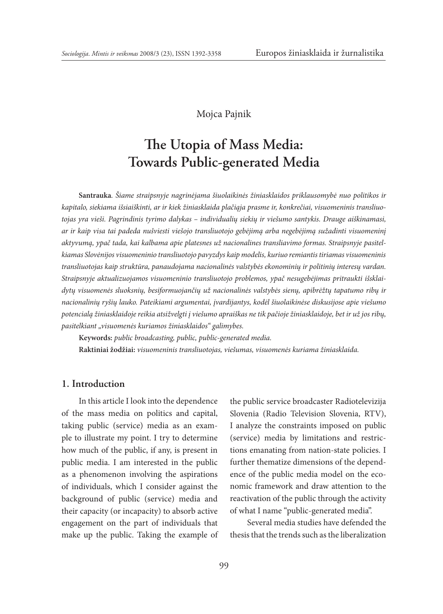### Mojca Pajnik

# **The Utopia of Mass Media: Towards Public-generated Media**

**Santrauka***. Šiame straipsnyje nagrinėjama šiuolaikinės žiniasklaidos priklausomybė nuo politikos ir kapitalo, siekiama išsiaiškinti, ar ir kiek žiniasklaida plačiąja prasme ir, konkrečiai, visuomeninis transliuotojas yra vieši. Pagrindinis tyrimo dalykas – individualių siekių ir viešumo santykis. Drauge aiškinamasi, ar ir kaip visa tai padeda nušviesti viešojo transliuotojo gebėjimą arba negebėjimą sužadinti visuomeninį aktyvumą, ypač tada, kai kalbama apie platesnes už nacionalines transliavimo formas. Straipsnyje pasitelkiamas Slovėnijos visuomeninio transliuotojo pavyzdys kaip modelis, kuriuo remiantis tiriamas visuomeninis transliuotojas kaip struktūra, panaudojama nacionalinės valstybės ekonominių ir politinių interesų vardan. Straipsnyje aktualizuojamos visuomeninio transliuotojo problemos, ypač nesugebėjimas pritraukti išsklaidytų visuomenės sluoksnių, besiformuojančių už nacionalinės valstybės sienų, apibrėžtų tapatumo ribų ir nacionalinių ryšių lauko. Pateikiami argumentai, įvardijantys, kodėl šiuolaikinėse diskusijose apie viešumo potencialą žiniasklaidoje reikia atsižvelgti į viešumo apraiškas ne tik pačioje žiniasklaidoje, bet ir už jos ribų, pasitelkiant "visuomenės kuriamos žiniasklaidos" galimybes.*

**Keywords:** *public broadcasting, public, public-generated media.* **Raktiniai žodžiai:** *visuomeninis transliuotojas, viešumas, visuomenės kuriama žiniasklaida.*

### **1. Introduction**

In this article I look into the dependence of the mass media on politics and capital, taking public (service) media as an example to illustrate my point. I try to determine how much of the public, if any, is present in public media. I am interested in the public as a phenomenon involving the aspirations of individuals, which I consider against the background of public (service) media and their capacity (or incapacity) to absorb active engagement on the part of individuals that make up the public. Taking the example of the public service broadcaster Radiotelevizija Slovenia (Radio Television Slovenia, RTV), I analyze the constraints imposed on public (service) media by limitations and restrictions emanating from nation-state policies. I further thematize dimensions of the dependence of the public media model on the economic framework and draw attention to the reactivation of the public through the activity of what I name "public-generated media".

Several media studies have defended the thesis that the trends such as the liberalization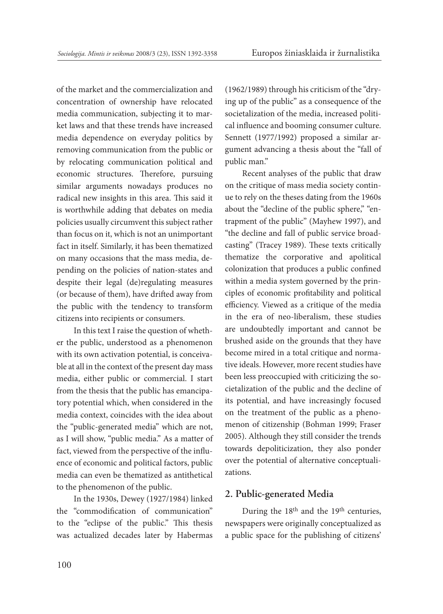of the market and the commercialization and concentration of ownership have relocated media communication, subjecting it to market laws and that these trends have increased media dependence on everyday politics by removing communication from the public or by relocating communication political and economic structures. Therefore, pursuing similar arguments nowadays produces no radical new insights in this area. This said it is worthwhile adding that debates on media policies usually circumvent this subject rather than focus on it, which is not an unimportant fact in itself. Similarly, it has been thematized on many occasions that the mass media, depending on the policies of nation-states and despite their legal (de)regulating measures (or because of them), have drifted away from the public with the tendency to transform citizens into recipients or consumers.

In this text I raise the question of whether the public, understood as a phenomenon with its own activation potential, is conceivable at all in the context of the present day mass media, either public or commercial. I start from the thesis that the public has emancipatory potential which, when considered in the media context, coincides with the idea about the "public-generated media" which are not, as I will show, "public media." As a matter of fact, viewed from the perspective of the influence of economic and political factors, public media can even be thematized as antithetical to the phenomenon of the public.

In the 1930s, Dewey (1927/1984) linked the "commodification of communication" to the "eclipse of the public." This thesis was actualized decades later by Habermas (1962/1989) through his criticism of the "drying up of the public" as a consequence of the societalization of the media, increased political influence and booming consumer culture. Sennett (1977/1992) proposed a similar argument advancing a thesis about the "fall of public man."

Recent analyses of the public that draw on the critique of mass media society continue to rely on the theses dating from the 1960s about the "decline of the public sphere," "entrapment of the public" (Mayhew 1997), and "the decline and fall of public service broadcasting" (Tracey 1989). These texts critically thematize the corporative and apolitical colonization that produces a public confined within a media system governed by the principles of economic profitability and political efficiency. Viewed as a critique of the media in the era of neo-liberalism, these studies are undoubtedly important and cannot be brushed aside on the grounds that they have become mired in a total critique and normative ideals. However, more recent studies have been less preoccupied with criticizing the societalization of the public and the decline of its potential, and have increasingly focused on the treatment of the public as a phenomenon of citizenship (Bohman 1999; Fraser 2005). Although they still consider the trends towards depoliticization, they also ponder over the potential of alternative conceptualizations.

### **2. Public-generated Media**

During the 18<sup>th</sup> and the 19<sup>th</sup> centuries, newspapers were originally conceptualized as a public space for the publishing of citizens'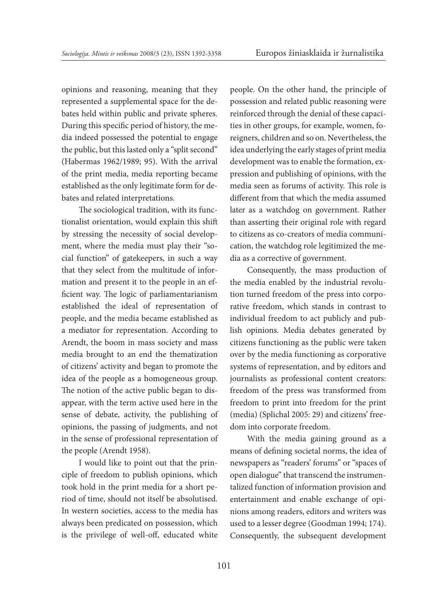opinions and reasoning, meaning that they represented a supplemental space for the debates held within public and private spheres. During this specific period of history, the media indeed possessed the potential to engage the public, but this lasted only a "split second" (Habermas 1962/1989; 95). With the arrival of the print media, media reporting became established as the only legitimate form for debates and related interpretations.

The sociological tradition, with its functionalist orientation, would explain this shift by stressing the necessity of social development, where the media must play their "social function" of gatekeepers, in such a way that they select from the multitude of information and present it to the people in an efficient way. The logic of parliamentarianism established the ideal of representation of people, and the media became established as a mediator for representation. According to Arendt, the boom in mass society and mass media brought to an end the thematization of citizens' activity and began to promote the idea of the people as a homogeneous group. The notion of the active public began to disappear, with the term active used here in the sense of debate, activity, the publishing of opinions, the passing of judgments, and not in the sense of professional representation of the people (Arendt 1958).

I would like to point out that the principle of freedom to publish opinions, which took hold in the print media for a short period of time, should not itself be absolutised. In western societies, access to the media has always been predicated on possession, which is the privilege of well-off, educated white people. On the other hand, the principle of possession and related public reasoning were reinforced through the denial of these capacities in other groups, for example, women, foreigners, children and so on. Nevertheless, the idea underlying the early stages of print media development was to enable the formation, expression and publishing of opinions, with the media seen as forums of activity. This role is different from that which the media assumed later as a watchdog on government. Rather than asserting their original role with regard to citizens as co-creators of media communication, the watchdog role legitimized the media as a corrective of government.

Consequently, the mass production of the media enabled by the industrial revolution turned freedom of the press into corporative freedom, which stands in contrast to individual freedom to act publicly and publish opinions. Media debates generated by citizens functioning as the public were taken over by the media functioning as corporative systems of representation, and by editors and journalists as professional content creators: freedom of the press was transformed from freedom to print into freedom for the print (media) (Splichal 2005: 29) and citizens' freedom into corporate freedom.

With the media gaining ground as a means of defining societal norms, the idea of newspapers as "readers' forums" or "spaces of open dialogue" that transcend the instrumentalized function of information provision and entertainment and enable exchange of opinions among readers, editors and writers was used to a lesser degree (Goodman 1994; 174). Consequently, the subsequent development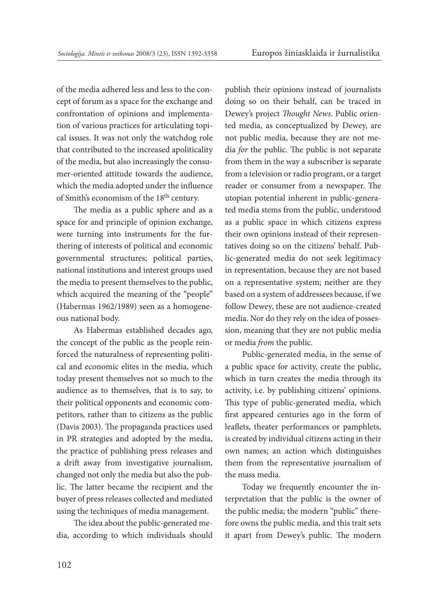of the media adhered less and less to the concept of forum as a space for the exchange and confrontation of opinions and implementation of various practices for articulating topical issues. It was not only the watchdog role that contributed to the increased apoliticality of the media, but also increasingly the consumer-oriented attitude towards the audience, which the media adopted under the influence of Smith's economism of the 18th century.

The media as a public sphere and as a space for and principle of opinion exchange, were turning into instruments for the furthering of interests of political and economic governmental structures; political parties, national institutions and interest groups used the media to present themselves to the public, which acquired the meaning of the "people" (Habermas 1962/1989) seen as a homogeneous national body.

As Habermas established decades ago, the concept of the public as the people reinforced the naturalness of representing political and economic elites in the media, which today present themselves not so much to the audience as to themselves, that is to say, to their political opponents and economic competitors, rather than to citizens as the public (Davis 2003). The propaganda practices used in PR strategies and adopted by the media, the practice of publishing press releases and a drift away from investigative journalism, changed not only the media but also the public. The latter became the recipient and the buyer of press releases collected and mediated using the techniques of media management.

The idea about the public-generated media, according to which individuals should publish their opinions instead of journalists doing so on their behalf, can be traced in Dewey's project *Thought News*. Public oriented media, as conceptualized by Dewey, are not public media, because they are not media *for* the public. The public is not separate from them in the way a subscriber is separate from a television or radio program, or a target reader or consumer from a newspaper. The utopian potential inherent in public-generated media stems from the public, understood as a public space in which citizens express their own opinions instead of their representatives doing so on the citizens' behalf. Public-generated media do not seek legitimacy in representation, because they are not based on a representative system; neither are they based on a system of addressees because, if we follow Dewey, these are not audience-created media. Nor do they rely on the idea of possession, meaning that they are not public media or media *from* the public.

Public-generated media, in the sense of a public space for activity, create the public, which in turn creates the media through its activity, i.e. by publishing citizens' opinions. This type of public-generated media, which first appeared centuries ago in the form of leaflets, theater performances or pamphlets, is created by individual citizens acting in their own names; an action which distinguishes them from the representative journalism of the mass media.

Today we frequently encounter the interpretation that the public is the owner of the public media; the modern "public" therefore owns the public media, and this trait sets it apart from Dewey's public. The modern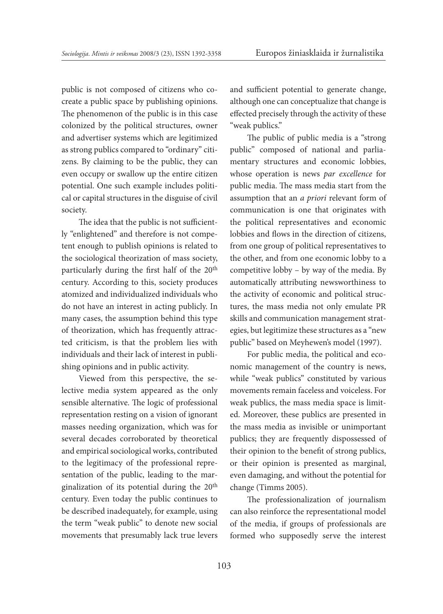public is not composed of citizens who cocreate a public space by publishing opinions. The phenomenon of the public is in this case colonized by the political structures, owner and advertiser systems which are legitimized as strong publics compared to "ordinary" citizens. By claiming to be the public, they can even occupy or swallow up the entire citizen potential. One such example includes political or capital structures in the disguise of civil society.

The idea that the public is not sufficiently "enlightened" and therefore is not competent enough to publish opinions is related to the sociological theorization of mass society, particularly during the first half of the 20th century. According to this, society produces atomized and individualized individuals who do not have an interest in acting publicly. In many cases, the assumption behind this type of theorization, which has frequently attracted criticism, is that the problem lies with individuals and their lack of interest in publishing opinions and in public activity.

Viewed from this perspective, the selective media system appeared as the only sensible alternative. The logic of professional representation resting on a vision of ignorant masses needing organization, which was for several decades corroborated by theoretical and empirical sociological works, contributed to the legitimacy of the professional representation of the public, leading to the marginalization of its potential during the 20th century. Even today the public continues to be described inadequately, for example, using the term "weak public" to denote new social movements that presumably lack true levers and sufficient potential to generate change, although one can conceptualize that change is effected precisely through the activity of these "weak publics."

The public of public media is a "strong public" composed of national and parliamentary structures and economic lobbies, whose operation is news *par excellence* for public media. The mass media start from the assumption that an *a priori* relevant form of communication is one that originates with the political representatives and economic lobbies and flows in the direction of citizens, from one group of political representatives to the other, and from one economic lobby to a competitive lobby – by way of the media. By automatically attributing newsworthiness to the activity of economic and political structures, the mass media not only emulate PR skills and communication management strategies, but legitimize these structures as a "new public" based on Meyhewen's model (1997).

For public media, the political and economic management of the country is news, while "weak publics" constituted by various movements remain faceless and voiceless. For weak publics, the mass media space is limited. Moreover, these publics are presented in the mass media as invisible or unimportant publics; they are frequently dispossessed of their opinion to the benefit of strong publics, or their opinion is presented as marginal, even damaging, and without the potential for change (Timms 2005).

The professionalization of journalism can also reinforce the representational model of the media, if groups of professionals are formed who supposedly serve the interest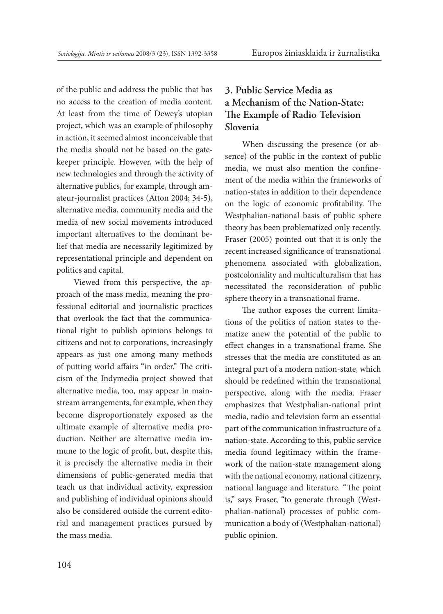of the public and address the public that has no access to the creation of media content. At least from the time of Dewey's utopian project, which was an example of philosophy in action, it seemed almost inconceivable that the media should not be based on the gatekeeper principle. However, with the help of new technologies and through the activity of alternative publics, for example, through amateur-journalist practices (Atton 2004; 34-5), alternative media, community media and the media of new social movements introduced important alternatives to the dominant belief that media are necessarily legitimized by representational principle and dependent on politics and capital.

Viewed from this perspective, the approach of the mass media, meaning the professional editorial and journalistic practices that overlook the fact that the communicational right to publish opinions belongs to citizens and not to corporations, increasingly appears as just one among many methods of putting world affairs "in order." The criticism of the Indymedia project showed that alternative media, too, may appear in mainstream arrangements, for example, when they become disproportionately exposed as the ultimate example of alternative media production. Neither are alternative media immune to the logic of profit, but, despite this, it is precisely the alternative media in their dimensions of public-generated media that teach us that individual activity, expression and publishing of individual opinions should also be considered outside the current editorial and management practices pursued by the mass media.

# **3. Public Service Media as a Mechanism of the Nation-State: The Example of Radio Television Slovenia**

When discussing the presence (or absence) of the public in the context of public media, we must also mention the confinement of the media within the frameworks of nation-states in addition to their dependence on the logic of economic profitability. The Westphalian-national basis of public sphere theory has been problematized only recently. Fraser (2005) pointed out that it is only the recent increased significance of transnational phenomena associated with globalization, postcoloniality and multiculturalism that has necessitated the reconsideration of public sphere theory in a transnational frame.

The author exposes the current limitations of the politics of nation states to thematize anew the potential of the public to effect changes in a transnational frame. She stresses that the media are constituted as an integral part of a modern nation-state, which should be redefined within the transnational perspective, along with the media. Fraser emphasizes that Westphalian-national print media, radio and television form an essential part of the communication infrastructure of a nation-state. According to this, public service media found legitimacy within the framework of the nation-state management along with the national economy, national citizenry, national language and literature. "The point is," says Fraser, "to generate through (Westphalian-national) processes of public communication a body of (Westphalian-national) public opinion.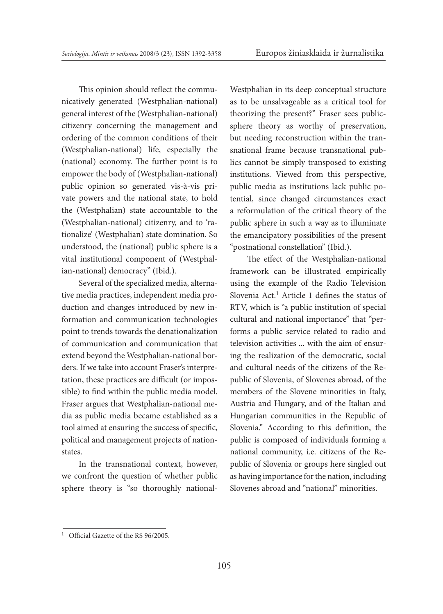This opinion should reflect the communicatively generated (Westphalian-national) general interest of the (Westphalian-national) citizenry concerning the management and ordering of the common conditions of their (Westphalian-national) life, especially the (national) economy. The further point is to empower the body of (Westphalian-national) public opinion so generated vis-à-vis private powers and the national state, to hold the (Westphalian) state accountable to the (Westphalian-national) citizenry, and to 'rationalize' (Westphalian) state domination. So understood, the (national) public sphere is a vital institutional component of (Westphalian-national) democracy" (Ibid.).

Several of the specialized media, alternative media practices, independent media production and changes introduced by new information and communication technologies point to trends towards the denationalization of communication and communication that extend beyond the Westphalian-national borders. If we take into account Fraser's interpretation, these practices are difficult (or impossible) to find within the public media model. Fraser argues that Westphalian-national media as public media became established as a tool aimed at ensuring the success of specific, political and management projects of nationstates.

In the transnational context, however, we confront the question of whether public sphere theory is "so thoroughly nationalWestphalian in its deep conceptual structure as to be unsalvageable as a critical tool for theorizing the present?" Fraser sees publicsphere theory as worthy of preservation, but needing reconstruction within the transnational frame because transnational publics cannot be simply transposed to existing institutions. Viewed from this perspective, public media as institutions lack public potential, since changed circumstances exact a reformulation of the critical theory of the public sphere in such a way as to illuminate the emancipatory possibilities of the present "postnational constellation" (Ibid.).

The effect of the Westphalian-national framework can be illustrated empirically using the example of the Radio Television Slovenia Act.1 Article 1 defines the status of RTV, which is "a public institution of special cultural and national importance" that "performs a public service related to radio and television activities ... with the aim of ensuring the realization of the democratic, social and cultural needs of the citizens of the Republic of Slovenia, of Slovenes abroad, of the members of the Slovene minorities in Italy, Austria and Hungary, and of the Italian and Hungarian communities in the Republic of Slovenia." According to this definition, the public is composed of individuals forming a national community, i.e. citizens of the Republic of Slovenia or groups here singled out as having importance for the nation, including Slovenes abroad and "national" minorities.

<sup>&</sup>lt;sup>1</sup> Official Gazette of the RS 96/2005.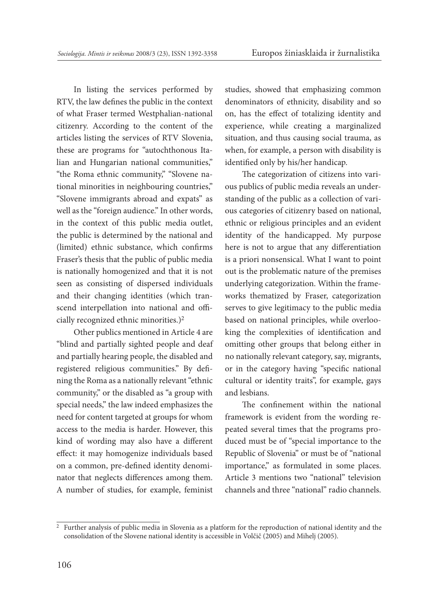In listing the services performed by RTV, the law defines the public in the context of what Fraser termed Westphalian-national citizenry. According to the content of the articles listing the services of RTV Slovenia, these are programs for "autochthonous Italian and Hungarian national communities," "the Roma ethnic community," "Slovene national minorities in neighbouring countries," "Slovene immigrants abroad and expats" as well as the "foreign audience." In other words, in the context of this public media outlet, the public is determined by the national and (limited) ethnic substance, which confirms Fraser's thesis that the public of public media is nationally homogenized and that it is not seen as consisting of dispersed individuals and their changing identities (which transcend interpellation into national and officially recognized ethnic minorities.)2

Other publics mentioned in Article 4 are "blind and partially sighted people and deaf and partially hearing people, the disabled and registered religious communities." By defining the Roma as a nationally relevant "ethnic community," or the disabled as "a group with special needs," the law indeed emphasizes the need for content targeted at groups for whom access to the media is harder. However, this kind of wording may also have a different effect: it may homogenize individuals based on a common, pre-defined identity denominator that neglects differences among them. A number of studies, for example, feminist studies, showed that emphasizing common denominators of ethnicity, disability and so on, has the effect of totalizing identity and experience, while creating a marginalized situation, and thus causing social trauma, as when, for example, a person with disability is identified only by his/her handicap.

The categorization of citizens into various publics of public media reveals an understanding of the public as a collection of various categories of citizenry based on national, ethnic or religious principles and an evident identity of the handicapped. My purpose here is not to argue that any differentiation is a priori nonsensical. What I want to point out is the problematic nature of the premises underlying categorization. Within the frameworks thematized by Fraser, categorization serves to give legitimacy to the public media based on national principles, while overlooking the complexities of identification and omitting other groups that belong either in no nationally relevant category, say, migrants, or in the category having "specific national cultural or identity traits", for example, gays and lesbians.

The confinement within the national framework is evident from the wording repeated several times that the programs produced must be of "special importance to the Republic of Slovenia" or must be of "national importance," as formulated in some places. Article 3 mentions two "national" television channels and three "national" radio channels.

<sup>&</sup>lt;sup>2</sup> Further analysis of public media in Slovenia as a platform for the reproduction of national identity and the consolidation of the Slovene national identity is accessible in Volčič (2005) and Mihelj (2005).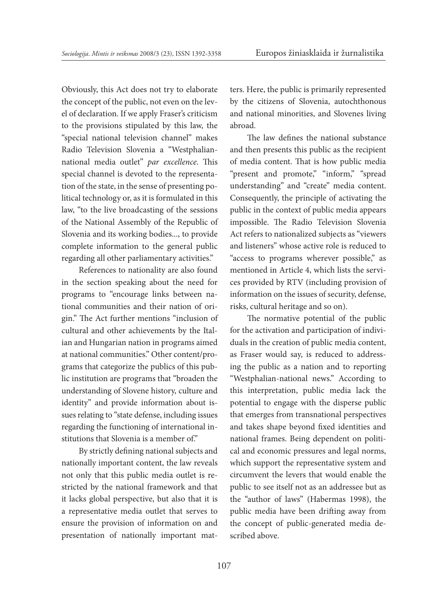Obviously, this Act does not try to elaborate the concept of the public, not even on the level of declaration. If we apply Fraser's criticism to the provisions stipulated by this law, the "special national television channel" makes Radio Television Slovenia a "Westphaliannational media outlet" *par excellence*. This special channel is devoted to the representation of the state, in the sense of presenting political technology or, as it is formulated in this law, "to the live broadcasting of the sessions of the National Assembly of the Republic of Slovenia and its working bodies..., to provide complete information to the general public regarding all other parliamentary activities."

References to nationality are also found in the section speaking about the need for programs to "encourage links between national communities and their nation of origin." The Act further mentions "inclusion of cultural and other achievements by the Italian and Hungarian nation in programs aimed at national communities." Other content/programs that categorize the publics of this public institution are programs that "broaden the understanding of Slovene history, culture and identity" and provide information about issues relating to "state defense, including issues regarding the functioning of international institutions that Slovenia is a member of."

By strictly defining national subjects and nationally important content, the law reveals not only that this public media outlet is restricted by the national framework and that it lacks global perspective, but also that it is a representative media outlet that serves to ensure the provision of information on and presentation of nationally important matters. Here, the public is primarily represented by the citizens of Slovenia, autochthonous and national minorities, and Slovenes living abroad.

The law defines the national substance and then presents this public as the recipient of media content. That is how public media "present and promote," "inform," "spread understanding" and "create" media content. Consequently, the principle of activating the public in the context of public media appears impossible. The Radio Television Slovenia Act refers to nationalized subjects as "viewers and listeners" whose active role is reduced to "access to programs wherever possible," as mentioned in Article 4, which lists the services provided by RTV (including provision of information on the issues of security, defense, risks, cultural heritage and so on).

The normative potential of the public for the activation and participation of individuals in the creation of public media content, as Fraser would say, is reduced to addressing the public as a nation and to reporting "Westphalian-national news." According to this interpretation, public media lack the potential to engage with the disperse public that emerges from transnational perspectives and takes shape beyond fixed identities and national frames. Being dependent on political and economic pressures and legal norms, which support the representative system and circumvent the levers that would enable the public to see itself not as an addressee but as the "author of laws" (Habermas 1998), the public media have been drifting away from the concept of public-generated media described above.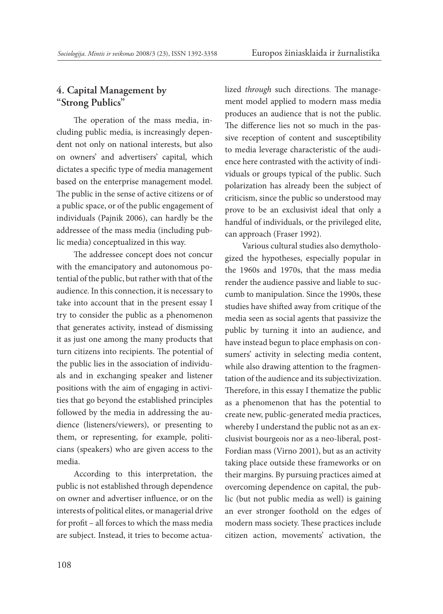## **4. Capital Management by "Strong Publics"**

The operation of the mass media, including public media, is increasingly dependent not only on national interests, but also on owners' and advertisers' capital, which dictates a specific type of media management based on the enterprise management model. The public in the sense of active citizens or of a public space, or of the public engagement of individuals (Pajnik 2006), can hardly be the addressee of the mass media (including public media) conceptualized in this way.

The addressee concept does not concur with the emancipatory and autonomous potential of the public, but rather with that of the audience. In this connection, it is necessary to take into account that in the present essay I try to consider the public as a phenomenon that generates activity, instead of dismissing it as just one among the many products that turn citizens into recipients. The potential of the public lies in the association of individuals and in exchanging speaker and listener positions with the aim of engaging in activities that go beyond the established principles followed by the media in addressing the audience (listeners/viewers), or presenting to them, or representing, for example, politicians (speakers) who are given access to the media.

According to this interpretation, the public is not established through dependence on owner and advertiser influence, or on the interests of political elites, or managerial drive for profit – all forces to which the mass media are subject. Instead, it tries to become actualized *through* such directions. The management model applied to modern mass media produces an audience that is not the public. The difference lies not so much in the passive reception of content and susceptibility to media leverage characteristic of the audience here contrasted with the activity of individuals or groups typical of the public. Such polarization has already been the subject of criticism, since the public so understood may prove to be an exclusivist ideal that only a handful of individuals, or the privileged elite, can approach (Fraser 1992).

Various cultural studies also demythologized the hypotheses, especially popular in the 1960s and 1970s, that the mass media render the audience passive and liable to succumb to manipulation. Since the 1990s, these studies have shifted away from critique of the media seen as social agents that passivize the public by turning it into an audience, and have instead begun to place emphasis on consumers' activity in selecting media content, while also drawing attention to the fragmentation of the audience and its subjectivization. Therefore, in this essay I thematize the public as a phenomenon that has the potential to create new, public-generated media practices, whereby I understand the public not as an exclusivist bourgeois nor as a neo-liberal, post-Fordian mass (Virno 2001), but as an activity taking place outside these frameworks or on their margins. By pursuing practices aimed at overcoming dependence on capital, the public (but not public media as well) is gaining an ever stronger foothold on the edges of modern mass society. These practices include citizen action, movements' activation, the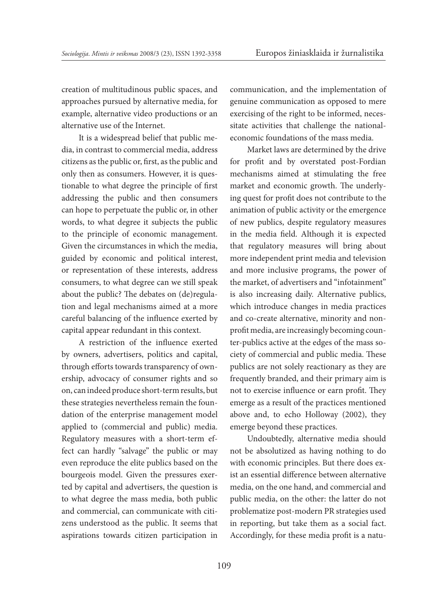creation of multitudinous public spaces, and approaches pursued by alternative media, for example, alternative video productions or an alternative use of the Internet.

It is a widespread belief that public media, in contrast to commercial media, address citizens as the public or, first, as the public and only then as consumers. However, it is questionable to what degree the principle of first addressing the public and then consumers can hope to perpetuate the public or, in other words, to what degree it subjects the public to the principle of economic management. Given the circumstances in which the media, guided by economic and political interest, or representation of these interests, address consumers, to what degree can we still speak about the public? The debates on (de)regulation and legal mechanisms aimed at a more careful balancing of the influence exerted by capital appear redundant in this context.

A restriction of the influence exerted by owners, advertisers, politics and capital, through efforts towards transparency of ownership, advocacy of consumer rights and so on, can indeed produce short-term results, but these strategies nevertheless remain the foundation of the enterprise management model applied to (commercial and public) media. Regulatory measures with a short-term effect can hardly "salvage" the public or may even reproduce the elite publics based on the bourgeois model. Given the pressures exerted by capital and advertisers, the question is to what degree the mass media, both public and commercial, can communicate with citizens understood as the public. It seems that aspirations towards citizen participation in communication, and the implementation of genuine communication as opposed to mere exercising of the right to be informed, necessitate activities that challenge the nationaleconomic foundations of the mass media.

Market laws are determined by the drive for profit and by overstated post-Fordian mechanisms aimed at stimulating the free market and economic growth. The underlying quest for profit does not contribute to the animation of public activity or the emergence of new publics, despite regulatory measures in the media field. Although it is expected that regulatory measures will bring about more independent print media and television and more inclusive programs, the power of the market, of advertisers and "infotainment" is also increasing daily. Alternative publics, which introduce changes in media practices and co-create alternative, minority and nonprofit media, are increasingly becoming counter-publics active at the edges of the mass society of commercial and public media. These publics are not solely reactionary as they are frequently branded, and their primary aim is not to exercise influence or earn profit. They emerge as a result of the practices mentioned above and, to echo Holloway (2002), they emerge beyond these practices.

Undoubtedly, alternative media should not be absolutized as having nothing to do with economic principles. But there does exist an essential difference between alternative media, on the one hand, and commercial and public media, on the other: the latter do not problematize post-modern PR strategies used in reporting, but take them as a social fact. Accordingly, for these media profit is a natu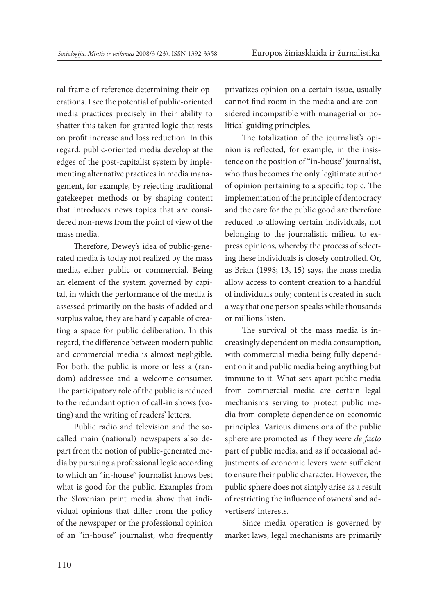ral frame of reference determining their operations. I see the potential of public-oriented media practices precisely in their ability to shatter this taken-for-granted logic that rests on profit increase and loss reduction. In this regard, public-oriented media develop at the edges of the post-capitalist system by implementing alternative practices in media management, for example, by rejecting traditional gatekeeper methods or by shaping content that introduces news topics that are considered non-news from the point of view of the mass media.

Therefore, Dewey's idea of public-generated media is today not realized by the mass media, either public or commercial. Being an element of the system governed by capital, in which the performance of the media is assessed primarily on the basis of added and surplus value, they are hardly capable of creating a space for public deliberation. In this regard, the difference between modern public and commercial media is almost negligible. For both, the public is more or less a (random) addressee and a welcome consumer. The participatory role of the public is reduced to the redundant option of call-in shows (voting) and the writing of readers' letters.

Public radio and television and the socalled main (national) newspapers also depart from the notion of public-generated media by pursuing a professional logic according to which an "in-house" journalist knows best what is good for the public. Examples from the Slovenian print media show that individual opinions that differ from the policy of the newspaper or the professional opinion of an "in-house" journalist, who frequently privatizes opinion on a certain issue, usually cannot find room in the media and are considered incompatible with managerial or political guiding principles.

The totalization of the journalist's opinion is reflected, for example, in the insistence on the position of "in-house" journalist, who thus becomes the only legitimate author of opinion pertaining to a specific topic. The implementation of the principle of democracy and the care for the public good are therefore reduced to allowing certain individuals, not belonging to the journalistic milieu, to express opinions, whereby the process of selecting these individuals is closely controlled. Or, as Brian (1998; 13, 15) says, the mass media allow access to content creation to a handful of individuals only; content is created in such a way that one person speaks while thousands or millions listen.

The survival of the mass media is increasingly dependent on media consumption, with commercial media being fully dependent on it and public media being anything but immune to it. What sets apart public media from commercial media are certain legal mechanisms serving to protect public media from complete dependence on economic principles. Various dimensions of the public sphere are promoted as if they were *de facto* part of public media, and as if occasional adjustments of economic levers were sufficient to ensure their public character. However, the public sphere does not simply arise as a result of restricting the influence of owners' and advertisers' interests.

Since media operation is governed by market laws, legal mechanisms are primarily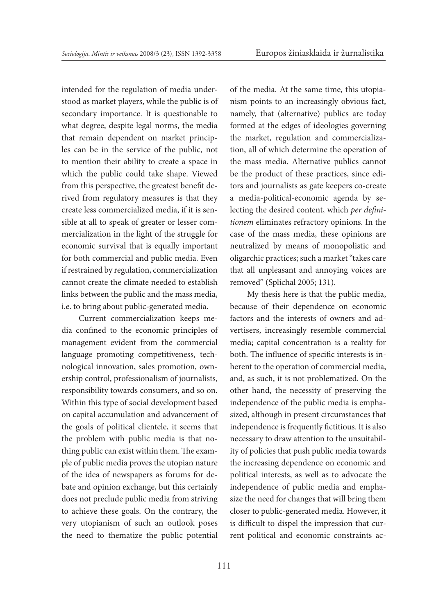intended for the regulation of media understood as market players, while the public is of secondary importance. It is questionable to what degree, despite legal norms, the media that remain dependent on market principles can be in the service of the public, not to mention their ability to create a space in which the public could take shape. Viewed from this perspective, the greatest benefit derived from regulatory measures is that they create less commercialized media, if it is sensible at all to speak of greater or lesser commercialization in the light of the struggle for economic survival that is equally important for both commercial and public media. Even if restrained by regulation, commercialization cannot create the climate needed to establish links between the public and the mass media, i.e. to bring about public-generated media.

Current commercialization keeps media confined to the economic principles of management evident from the commercial language promoting competitiveness, technological innovation, sales promotion, ownership control, professionalism of journalists, responsibility towards consumers, and so on. Within this type of social development based on capital accumulation and advancement of the goals of political clientele, it seems that the problem with public media is that nothing public can exist within them. The example of public media proves the utopian nature of the idea of newspapers as forums for debate and opinion exchange, but this certainly does not preclude public media from striving to achieve these goals. On the contrary, the very utopianism of such an outlook poses the need to thematize the public potential

of the media. At the same time, this utopianism points to an increasingly obvious fact, namely, that (alternative) publics are today formed at the edges of ideologies governing the market, regulation and commercialization, all of which determine the operation of the mass media. Alternative publics cannot be the product of these practices, since editors and journalists as gate keepers co-create a media-political-economic agenda by selecting the desired content, which *per definitionem* eliminates refractory opinions. In the case of the mass media, these opinions are neutralized by means of monopolistic and oligarchic practices; such a market "takes care that all unpleasant and annoying voices are removed" (Splichal 2005; 131).

My thesis here is that the public media, because of their dependence on economic factors and the interests of owners and advertisers, increasingly resemble commercial media; capital concentration is a reality for both. The influence of specific interests is inherent to the operation of commercial media, and, as such, it is not problematized. On the other hand, the necessity of preserving the independence of the public media is emphasized, although in present circumstances that independence is frequently fictitious. It is also necessary to draw attention to the unsuitability of policies that push public media towards the increasing dependence on economic and political interests, as well as to advocate the independence of public media and emphasize the need for changes that will bring them closer to public-generated media. However, it is difficult to dispel the impression that current political and economic constraints ac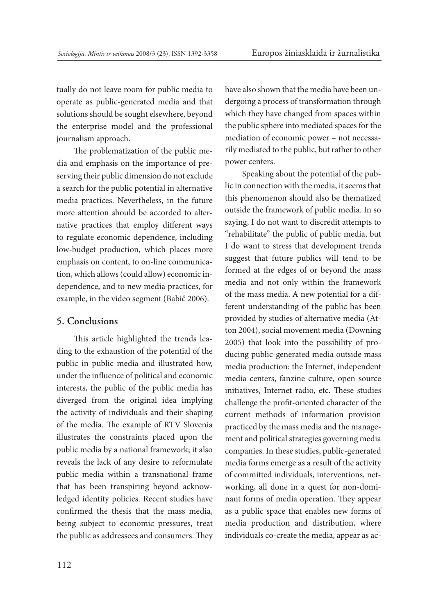tually do not leave room for public media to operate as public-generated media and that solutions should be sought elsewhere, beyond the enterprise model and the professional journalism approach.

The problematization of the public media and emphasis on the importance of preserving their public dimension do not exclude a search for the public potential in alternative media practices. Nevertheless, in the future more attention should be accorded to alternative practices that employ different ways to regulate economic dependence, including low-budget production, which places more emphasis on content, to on-line communication, which allows (could allow) economic independence, and to new media practices, for example, in the video segment (Babič 2006).

### **5. Conclusions**

This article highlighted the trends leading to the exhaustion of the potential of the public in public media and illustrated how, under the influence of political and economic interests, the public of the public media has diverged from the original idea implying the activity of individuals and their shaping of the media. The example of RTV Slovenia illustrates the constraints placed upon the public media by a national framework; it also reveals the lack of any desire to reformulate public media within a transnational frame that has been transpiring beyond acknowledged identity policies. Recent studies have confirmed the thesis that the mass media, being subject to economic pressures, treat the public as addressees and consumers. They have also shown that the media have been undergoing a process of transformation through which they have changed from spaces within the public sphere into mediated spaces for the mediation of economic power – not necessarily mediated to the public, but rather to other power centers.

Speaking about the potential of the public in connection with the media, it seems that this phenomenon should also be thematized outside the framework of public media. In so saying, I do not want to discredit attempts to "rehabilitate" the public of public media, but I do want to stress that development trends suggest that future publics will tend to be formed at the edges of or beyond the mass media and not only within the framework of the mass media. A new potential for a different understanding of the public has been provided by studies of alternative media (Atton 2004), social movement media (Downing 2005) that look into the possibility of producing public-generated media outside mass media production: the Internet, independent media centers, fanzine culture, open source initiatives, Internet radio, etc. These studies challenge the profit-oriented character of the current methods of information provision practiced by the mass media and the management and political strategies governing media companies. In these studies, public-generated media forms emerge as a result of the activity of committed individuals, interventions, networking, all done in a quest for non-dominant forms of media operation. They appear as a public space that enables new forms of media production and distribution, where individuals co-create the media, appear as ac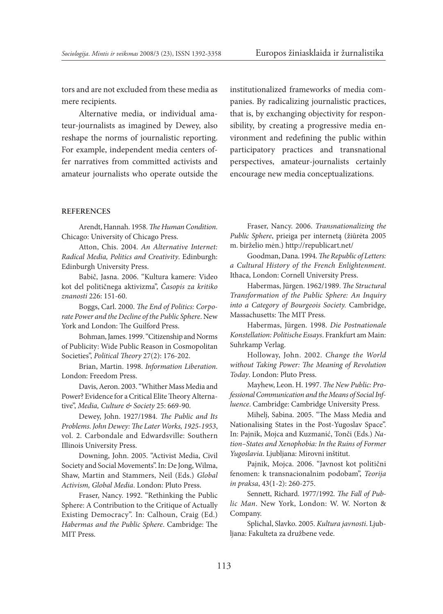tors and are not excluded from these media as mere recipients.

Alternative media, or individual amateur-journalists as imagined by Dewey, also reshape the norms of journalistic reporting. For example, independent media centers offer narratives from committed activists and amateur journalists who operate outside the institutionalized frameworks of media companies. By radicalizing journalistic practices, that is, by exchanging objectivity for responsibility, by creating a progressive media environment and redefining the public within participatory practices and transnational perspectives, amateur-journalists certainly encourage new media conceptualizations.

#### **References**

Arendt, Hannah. 1958. *The Human Condition*. Chicago: University of Chicago Press.

Atton, Chis. 2004. *An Alternative Internet: Radical Media, Politics and Creativity*. Edinburgh: Edinburgh University Press.

Babič, Jasna. 2006. "Kultura kamere: Video kot del političnega aktivizma", *Časopis za kritiko znanosti* 226: 151-60.

Boggs, Carl. 2000. *The End of Politics: Corporate Power and the Decline of the Public Sphere*. New York and London: The Guilford Press.

Bohman, James. 1999. "Citizenship and Norms of Publicity: Wide Public Reason in Cosmopolitan Societies", *Political Theory* 27(2): 176-202.

Brian, Martin. 1998. *Information Liberation*. London: Freedom Press.

Davis, Aeron. 2003. "Whither Mass Media and Power? Evidence for a Critical Elite Theory Alternative", *Media, Culture & Society* 25: 669-90.

Dewey, John. 1927/1984. *The Public and Its Problems. John Dewey: The Later Works, 1925-1953*, vol. 2. Carbondale and Edwardsville: Southern Illinois University Press.

Downing, John. 2005. "Activist Media, Civil Society and Social Movements". In: De Jong, Wilma, Shaw, Martin and Stammers, Neil (Eds.) *Global Activism, Global Media*. London: Pluto Press.

Fraser, Nancy. 1992. "Rethinking the Public Sphere: A Contribution to the Critique of Actually Existing Democracy". In: Calhoun, Craig (Ed.) *Habermas and the Public Sphere*. Cambridge: The MIT Press.

Fraser, Nancy. 2006. *Transnationalizing the Public Sphere*, prieiga per internetą (žiūrėta 2005 m. birželio mėn.) http://republicart.net/

Goodman, Dana. 1994. *The Republic of Letters: a Cultural History of the French Enlightenment*. Ithaca, London: Cornell University Press.

Habermas, Jürgen. 1962/1989. *The Structural Transformation of the Public Sphere: An Inquiry into a Category of Bourgeois Society.* Cambridge, Massachusetts: The MIT Press.

Habermas, Jürgen. 1998. *Die Postnationale Konstellation: Politische Essays*. Frankfurt am Main: Suhrkamp Verlag.

Holloway, John. 2002. *Change the World without Taking Power: The Meaning of Revolution Today*. London: Pluto Press.

Mayhew, Leon. H. 1997. *The New Public: Professional Communication and the Means of Social Influence*. Cambridge: Cambridge University Press.

Mihelj, Sabina. 2005. "The Mass Media and Nationalising States in the Post-Yugoslav Space". In: Pajnik, Mojca and Kuzmanić, Tonči (Eds.) *Nation–States and Xenophobia: In the Ruins of Former Yugoslavia*. Ljubljana: Mirovni inštitut.

Pajnik, Mojca. 2006. "Javnost kot politični fenomen: k transnacionalnim podobam", *Teorija in praksa*, 43(1-2): 260-275.

Sennett, Richard. 1977/1992. *The Fall of Public Man*. New York, London: W. W. Norton & Company.

Splichal, Slavko. 2005. *Kultura javnosti*. Ljubljana: Fakulteta za družbene vede.